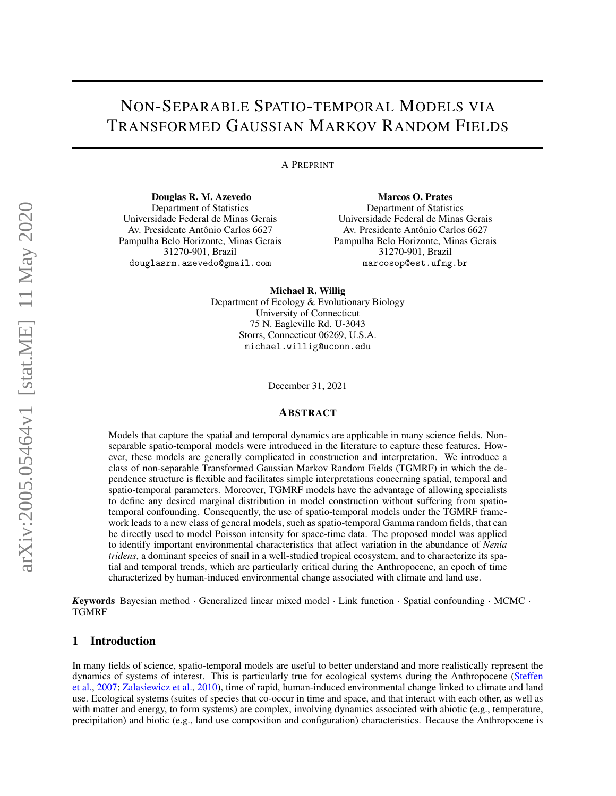# NON-SEPARABLE SPATIO-TEMPORAL MODELS VIA TRANSFORMED GAUSSIAN MARKOV RANDOM FIELDS

A PREPRINT

Douglas R. M. Azevedo Department of Statistics Universidade Federal de Minas Gerais Av. Presidente Antônio Carlos 6627 Pampulha Belo Horizonte, Minas Gerais 31270-901, Brazil douglasrm.azevedo@gmail.com

Marcos O. Prates Department of Statistics Universidade Federal de Minas Gerais Av. Presidente Antônio Carlos 6627 Pampulha Belo Horizonte, Minas Gerais 31270-901, Brazil marcosop@est.ufmg.br

Michael R. Willig Department of Ecology & Evolutionary Biology University of Connecticut 75 N. Eagleville Rd. U-3043 Storrs, Connecticut 06269, U.S.A. michael.willig@uconn.edu

December 31, 2021

# ABSTRACT

Models that capture the spatial and temporal dynamics are applicable in many science fields. Nonseparable spatio-temporal models were introduced in the literature to capture these features. However, these models are generally complicated in construction and interpretation. We introduce a class of non-separable Transformed Gaussian Markov Random Fields (TGMRF) in which the dependence structure is flexible and facilitates simple interpretations concerning spatial, temporal and spatio-temporal parameters. Moreover, TGMRF models have the advantage of allowing specialists to define any desired marginal distribution in model construction without suffering from spatiotemporal confounding. Consequently, the use of spatio-temporal models under the TGMRF framework leads to a new class of general models, such as spatio-temporal Gamma random fields, that can be directly used to model Poisson intensity for space-time data. The proposed model was applied to identify important environmental characteristics that affect variation in the abundance of *Nenia tridens*, a dominant species of snail in a well-studied tropical ecosystem, and to characterize its spatial and temporal trends, which are particularly critical during the Anthropocene, an epoch of time characterized by human-induced environmental change associated with climate and land use.

*K*eywords Bayesian method · Generalized linear mixed model · Link function · Spatial confounding · MCMC · TGMRF

# 1 Introduction

In many fields of science, spatio-temporal models are useful to better understand and more realistically represent the dynamics of systems of interest. This is particularly true for ecological systems during the Anthropocene [\(Steffen](#page-13-0) [et al.,](#page-13-0) [2007;](#page-13-0) [Zalasiewicz et al.,](#page-14-0) [2010\)](#page-14-0), time of rapid, human-induced environmental change linked to climate and land use. Ecological systems (suites of species that co-occur in time and space, and that interact with each other, as well as with matter and energy, to form systems) are complex, involving dynamics associated with abiotic (e.g., temperature, precipitation) and biotic (e.g., land use composition and configuration) characteristics. Because the Anthropocene is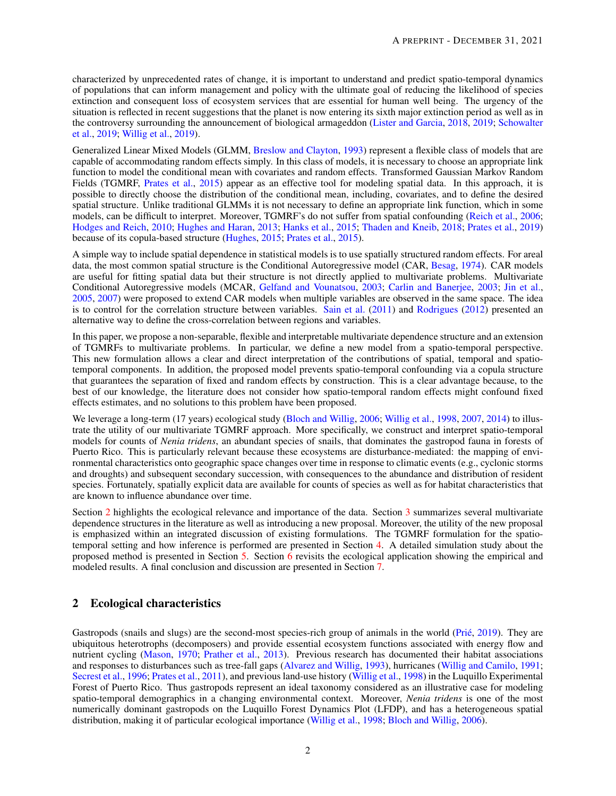characterized by unprecedented rates of change, it is important to understand and predict spatio-temporal dynamics of populations that can inform management and policy with the ultimate goal of reducing the likelihood of species extinction and consequent loss of ecosystem services that are essential for human well being. The urgency of the situation is reflected in recent suggestions that the planet is now entering its sixth major extinction period as well as in the controversy surrounding the announcement of biological armageddon [\(Lister and Garcia,](#page-13-1) [2018,](#page-13-1) [2019;](#page-13-2) [Schowalter](#page-13-3) [et al.,](#page-13-3) [2019;](#page-13-3) [Willig et al.,](#page-13-4) [2019\)](#page-13-4).

Generalized Linear Mixed Models (GLMM, [Breslow and Clayton,](#page-12-0) [1993\)](#page-12-0) represent a flexible class of models that are capable of accommodating random effects simply. In this class of models, it is necessary to choose an appropriate link function to model the conditional mean with covariates and random effects. Transformed Gaussian Markov Random Fields (TGMRF, [Prates et al.,](#page-13-5) [2015\)](#page-13-5) appear as an effective tool for modeling spatial data. In this approach, it is possible to directly choose the distribution of the conditional mean, including, covariates, and to define the desired spatial structure. Unlike traditional GLMMs it is not necessary to define an appropriate link function, which in some models, can be difficult to interpret. Moreover, TGMRF's do not suffer from spatial confounding [\(Reich et al.,](#page-13-6) [2006;](#page-13-6) [Hodges and Reich,](#page-12-1) [2010;](#page-12-1) [Hughes and Haran,](#page-12-2) [2013;](#page-12-2) [Hanks et al.,](#page-12-3) [2015;](#page-12-3) [Thaden and Kneib,](#page-13-7) [2018;](#page-13-7) [Prates et al.,](#page-13-8) [2019\)](#page-13-8) because of its copula-based structure [\(Hughes,](#page-12-4) [2015;](#page-12-4) [Prates et al.,](#page-13-5) [2015\)](#page-13-5).

A simple way to include spatial dependence in statistical models is to use spatially structured random effects. For areal data, the most common spatial structure is the Conditional Autoregressive model (CAR, [Besag,](#page-12-5) [1974\)](#page-12-5). CAR models are useful for fitting spatial data but their structure is not directly applied to multivariate problems. Multivariate Conditional Autoregressive models (MCAR, [Gelfand and Vounatsou,](#page-12-6) [2003;](#page-12-6) [Carlin and Banerjee,](#page-12-7) [2003;](#page-12-7) [Jin et al.,](#page-13-9) [2005,](#page-13-9) [2007\)](#page-12-8) were proposed to extend CAR models when multiple variables are observed in the same space. The idea is to control for the correlation structure between variables. [Sain et al.](#page-13-10) [\(2011\)](#page-13-10) and [Rodrigues](#page-13-11) [\(2012\)](#page-13-11) presented an alternative way to define the cross-correlation between regions and variables.

In this paper, we propose a non-separable, flexible and interpretable multivariate dependence structure and an extension of TGMRFs to multivariate problems. In particular, we define a new model from a spatio-temporal perspective. This new formulation allows a clear and direct interpretation of the contributions of spatial, temporal and spatiotemporal components. In addition, the proposed model prevents spatio-temporal confounding via a copula structure that guarantees the separation of fixed and random effects by construction. This is a clear advantage because, to the best of our knowledge, the literature does not consider how spatio-temporal random effects might confound fixed effects estimates, and no solutions to this problem have been proposed.

We leverage a long-term (17 years) ecological study [\(Bloch and Willig,](#page-12-9) [2006;](#page-12-9) [Willig et al.,](#page-14-1) [1998,](#page-14-1) [2007,](#page-13-12) [2014\)](#page-13-13) to illustrate the utility of our multivariate TGMRF approach. More specifically, we construct and interpret spatio-temporal models for counts of *Nenia tridens*, an abundant species of snails, that dominates the gastropod fauna in forests of Puerto Rico. This is particularly relevant because these ecosystems are disturbance-mediated: the mapping of environmental characteristics onto geographic space changes over time in response to climatic events (e.g., cyclonic storms and droughts) and subsequent secondary succession, with consequences to the abundance and distribution of resident species. Fortunately, spatially explicit data are available for counts of species as well as for habitat characteristics that are known to influence abundance over time.

Section [2](#page-1-0) highlights the ecological relevance and importance of the data. Section [3](#page-2-0) summarizes several multivariate dependence structures in the literature as well as introducing a new proposal. Moreover, the utility of the new proposal is emphasized within an integrated discussion of existing formulations. The TGMRF formulation for the spatiotemporal setting and how inference is performed are presented in Section [4.](#page-6-0) A detailed simulation study about the proposed method is presented in Section [5.](#page-8-0) Section [6](#page-9-0) revisits the ecological application showing the empirical and modeled results. A final conclusion and discussion are presented in Section [7.](#page-11-0)

# <span id="page-1-0"></span>2 Ecological characteristics

Gastropods (snails and slugs) are the second-most species-rich group of animals in the world (Prié, [2019\)](#page-13-14). They are ubiquitous heterotrophs (decomposers) and provide essential ecosystem functions associated with energy flow and nutrient cycling [\(Mason,](#page-13-15) [1970;](#page-13-15) [Prather et al.,](#page-13-16) [2013\)](#page-13-16). Previous research has documented their habitat associations and responses to disturbances such as tree-fall gaps [\(Alvarez and Willig,](#page-12-10) [1993\)](#page-12-10), hurricanes [\(Willig and Camilo,](#page-13-17) [1991;](#page-13-17) [Secrest et al.,](#page-13-18) [1996;](#page-13-18) [Prates et al.,](#page-13-19) [2011\)](#page-13-19), and previous land-use history [\(Willig et al.,](#page-14-1) [1998\)](#page-14-1) in the Luquillo Experimental Forest of Puerto Rico. Thus gastropods represent an ideal taxonomy considered as an illustrative case for modeling spatio-temporal demographics in a changing environmental context. Moreover, *Nenia tridens* is one of the most numerically dominant gastropods on the Luquillo Forest Dynamics Plot (LFDP), and has a heterogeneous spatial distribution, making it of particular ecological importance [\(Willig et al.,](#page-14-1) [1998;](#page-14-1) [Bloch and Willig,](#page-12-9) [2006\)](#page-12-9).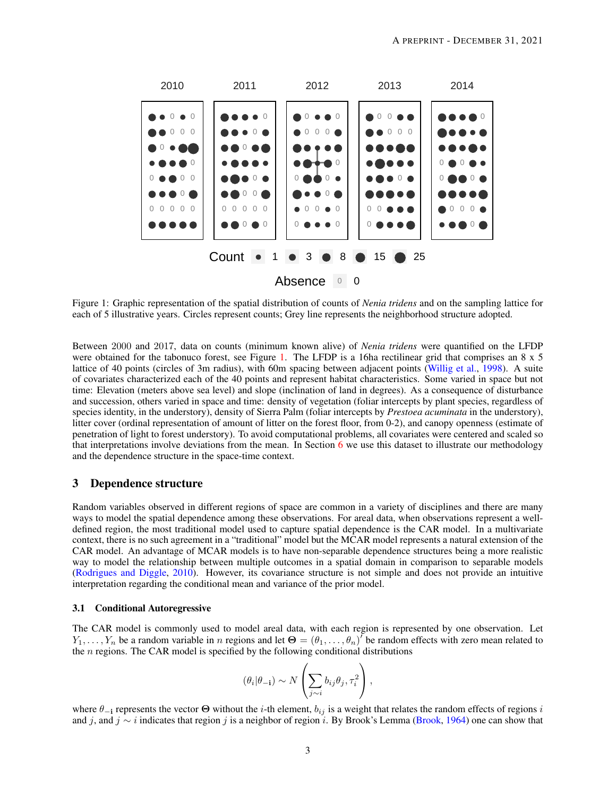<span id="page-2-1"></span>

Figure 1: Graphic representation of the spatial distribution of counts of *Nenia tridens* and on the sampling lattice for each of 5 illustrative years. Circles represent counts; Grey line represents the neighborhood structure adopted.

Between 2000 and 2017, data on counts (minimum known alive) of *Nenia tridens* were quantified on the LFDP were obtained for the tabonuco forest, see Figure [1.](#page-2-1) The LFDP is a 16ha rectilinear grid that comprises an 8 x 5 lattice of 40 points (circles of 3m radius), with 60m spacing between adjacent points [\(Willig et al.,](#page-14-1) [1998\)](#page-14-1). A suite of covariates characterized each of the 40 points and represent habitat characteristics. Some varied in space but not time: Elevation (meters above sea level) and slope (inclination of land in degrees). As a consequence of disturbance and succession, others varied in space and time: density of vegetation (foliar intercepts by plant species, regardless of species identity, in the understory), density of Sierra Palm (foliar intercepts by *Prestoea acuminata* in the understory), litter cover (ordinal representation of amount of litter on the forest floor, from 0-2), and canopy openness (estimate of penetration of light to forest understory). To avoid computational problems, all covariates were centered and scaled so that interpretations involve deviations from the mean. In Section [6](#page-9-0) we use this dataset to illustrate our methodology and the dependence structure in the space-time context.

# <span id="page-2-0"></span>3 Dependence structure

Random variables observed in different regions of space are common in a variety of disciplines and there are many ways to model the spatial dependence among these observations. For areal data, when observations represent a welldefined region, the most traditional model used to capture spatial dependence is the CAR model. In a multivariate context, there is no such agreement in a "traditional" model but the MCAR model represents a natural extension of the CAR model. An advantage of MCAR models is to have non-separable dependence structures being a more realistic way to model the relationship between multiple outcomes in a spatial domain in comparison to separable models [\(Rodrigues and Diggle,](#page-13-20) [2010\)](#page-13-20). However, its covariance structure is not simple and does not provide an intuitive interpretation regarding the conditional mean and variance of the prior model.

## 3.1 Conditional Autoregressive

The CAR model is commonly used to model areal data, with each region is represented by one observation. Let  $Y_1,\ldots,Y_n$  be a random variable in n regions and let  $\Theta=(\theta_1,\ldots,\theta_n)^T$  be random effects with zero mean related to the  $n$  regions. The CAR model is specified by the following conditional distributions

$$
(\theta_i|\theta_{-i}) \sim N\left(\sum_{j\sim i} b_{ij}\theta_j, \tau_i^2\right),\,
$$

where  $\theta_{-i}$  represents the vector  $\Theta$  without the *i*-th element,  $b_{ij}$  is a weight that relates the random effects of regions *i* and j, and j ∼ i indicates that region j is a neighbor of region i. By Brook's Lemma [\(Brook,](#page-12-11) [1964\)](#page-12-11) one can show that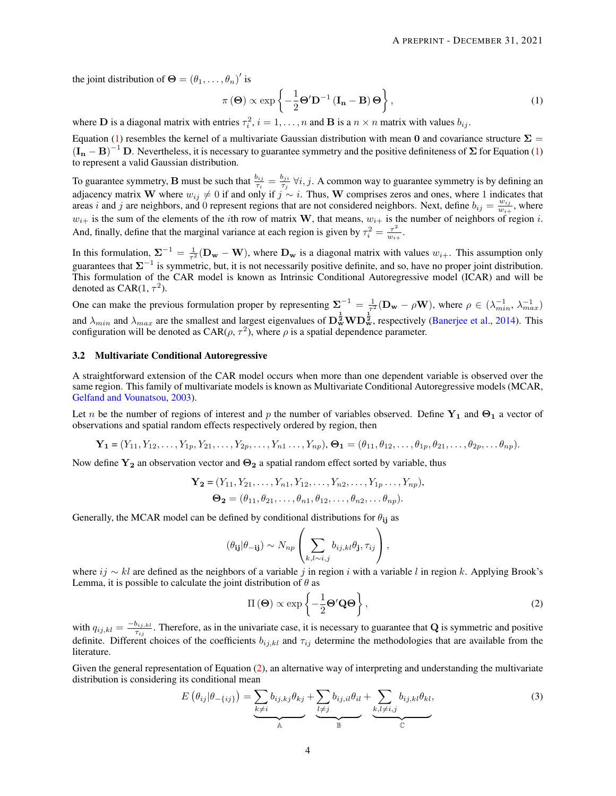the joint distribution of  $\mathbf{\Theta} = (\theta_1, \dots, \theta_n)'$  is

<span id="page-3-0"></span>
$$
\pi(\mathbf{\Theta}) \propto \exp\left\{-\frac{1}{2}\mathbf{\Theta}' \mathbf{D}^{-1} \left(\mathbf{I}_{\mathbf{n}} - \mathbf{B}\right) \mathbf{\Theta}\right\},\tag{1}
$$

where **D** is a diagonal matrix with entries  $\tau_i^2$ ,  $i = 1, ..., n$  and **B** is a  $n \times n$  matrix with values  $b_{ij}$ .

Equation [\(1\)](#page-3-0) resembles the kernel of a multivariate Gaussian distribution with mean 0 and covariance structure  $\Sigma$  =  $(I_n - B)^{-1}$  D. Nevertheless, it is necessary to guarantee symmetry and the positive definiteness of  $\Sigma$  for Equation [\(1\)](#page-3-0) to represent a valid Gaussian distribution.

To guarantee symmetry, **B** must be such that  $\frac{b_{ij}}{\tau_i} = \frac{b_{ji}}{\tau_j}$  $\frac{\partial y_i}{\partial \tau_j}$   $\forall i, j$ . A common way to guarantee symmetry is by defining an adjacency matrix W where  $w_{ij} \neq 0$  if and only if  $j \sim i$ . Thus, W comprises zeros and ones, where 1 indicates that areas i and j are neighbors, and 0 represent regions that are not considered neighbors. Next, define  $b_{ij} = \frac{w_{ij}}{w_{ij}}$  $\frac{w_{ij}}{w_{i+}}$ , where  $w_{i+}$  is the sum of the elements of the *i*th row of matrix W, that means,  $w_{i+}$  is the number of neighbors of region *i*. And, finally, define that the marginal variance at each region is given by  $\tau_i^2 = \frac{\tau^2}{w_i}$  $\frac{\tau^-}{w_{i+}}.$ 

In this formulation,  $\Sigma^{-1} = \frac{1}{\tau^2} (\mathbf{D_w} - \mathbf{W})$ , where  $\mathbf{D_w}$  is a diagonal matrix with values  $w_{i+}$ . This assumption only guarantees that  $\Sigma^{-1}$  is symmetric, but, it is not necessarily positive definite, and so, have no proper joint distribution. This formulation of the CAR model is known as Intrinsic Conditional Autoregressive model (ICAR) and will be denoted as CAR(1,  $\tau^2$ ).

One can make the previous formulation proper by representing  $\Sigma^{-1} = \frac{1}{\tau^2} (\mathbf{D_w} - \rho \mathbf{W})$ , where  $\rho \in (\lambda_{min}^{-1}, \lambda_{max}^{-1})$ and  $\lambda_{min}$  and  $\lambda_{max}$  are the smallest and largest eigenvalues of  $\mathbf{D}_{\mathbf{w}}^{\frac{1}{2}}\mathbf{W}\mathbf{D}_{\mathbf{w}}^{\frac{1}{2}}$ , respectively [\(Banerjee et al.,](#page-12-12) [2014\)](#page-12-12). This configuration will be denoted as CAR( $\rho$ ,  $\tau^2$ ), where  $\rho$  is a spatial dependence parameter.

## 3.2 Multivariate Conditional Autoregressive

A straightforward extension of the CAR model occurs when more than one dependent variable is observed over the same region. This family of multivariate models is known as Multivariate Conditional Autoregressive models (MCAR, [Gelfand and Vounatsou,](#page-12-6) [2003\)](#page-12-6).

Let n be the number of regions of interest and p the number of variables observed. Define  $Y_1$  and  $\Theta_1$  a vector of observations and spatial random effects respectively ordered by region, then

$$
\mathbf{Y_1} = (Y_{11}, Y_{12}, \dots, Y_{1p}, Y_{21}, \dots, Y_{2p}, \dots, Y_{n1}, \dots, Y_{np}), \mathbf{\Theta_1} = (\theta_{11}, \theta_{12}, \dots, \theta_{1p}, \theta_{21}, \dots, \theta_{2p}, \dots, \theta_{np}).
$$

Now define  $Y_2$  an observation vector and  $\Theta_2$  a spatial random effect sorted by variable, thus

$$
\mathbf{Y_2} = (Y_{11}, Y_{21}, \dots, Y_{n1}, Y_{12}, \dots, Y_{n2}, \dots, Y_{1p} \dots, Y_{np}),
$$
  
\n
$$
\mathbf{\Theta_2} = (\theta_{11}, \theta_{21}, \dots, \theta_{n1}, \theta_{12}, \dots, \theta_{n2}, \dots, \theta_{np}).
$$

Generally, the MCAR model can be defined by conditional distributions for  $\theta_{ij}$  as

$$
(\theta_{ij}|\theta_{-ij}) \sim N_{np}\left(\sum_{k,l\sim i,j} b_{ij,kl}\theta_j, \tau_{ij}\right),
$$

where  $ij \sim kl$  are defined as the neighbors of a variable j in region i with a variable l in region k. Applying Brook's Lemma, it is possible to calculate the joint distribution of  $\theta$  as

<span id="page-3-1"></span>
$$
\Pi(\mathbf{\Theta}) \propto \exp\left\{-\frac{1}{2}\mathbf{\Theta}'\mathbf{Q}\mathbf{\Theta}\right\},\tag{2}
$$

with  $q_{ij,kl} = \frac{-b_{ij,kl}}{\tau_{ij}}$  $\frac{p_{i,j,kl}}{\tau_{i,j}}$ . Therefore, as in the univariate case, it is necessary to guarantee that **Q** is symmetric and positive definite. Different choices of the coefficients  $b_{ij,kl}$  and  $\tau_{ij}$  determine the methodologies that are available from the literature.

Given the general representation of Equation [\(2\)](#page-3-1), an alternative way of interpreting and understanding the multivariate distribution is considering its conditional mean

<span id="page-3-2"></span>
$$
E(\theta_{ij}|\theta_{-\{ij\}}) = \underbrace{\sum_{k \neq i} b_{ij,kj} \theta_{kj}}_{A} + \underbrace{\sum_{l \neq j} b_{ij,il} \theta_{il}}_{B} + \underbrace{\sum_{k,l \neq i,j} b_{ij,kl} \theta_{kl}}_{C},
$$
\n(3)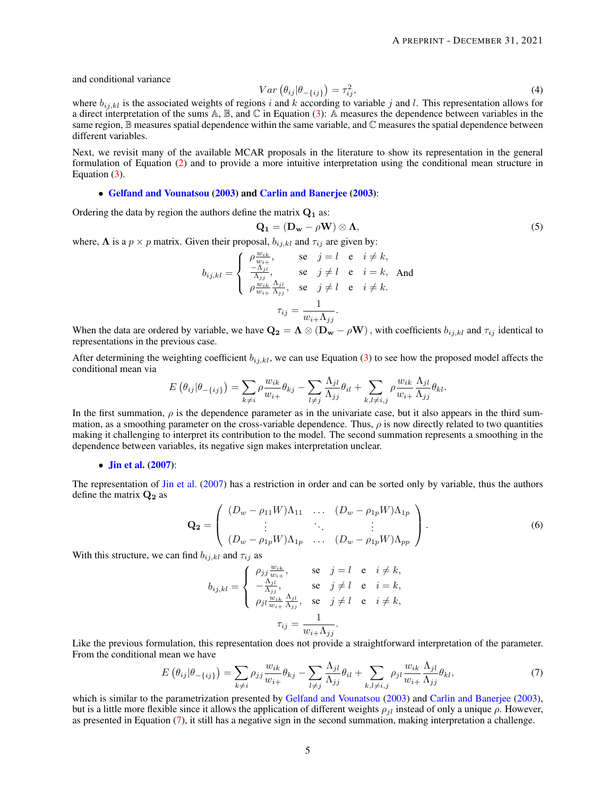and conditional variance

<span id="page-4-1"></span>
$$
Var\left(\theta_{ij}|\theta_{-\{ij\}}\right) = \tau_{ij}^2,\tag{4}
$$

where  $b_{i,j,kl}$  is the associated weights of regions i and k according to variable j and l. This representation allows for a direct interpretation of the sums  $A$ ,  $B$ , and  $C$  in Equation [\(3\)](#page-3-2): A measures the dependence between variables in the same region,  $\mathbb B$  measures spatial dependence within the same variable, and  $\mathbb C$  measures the spatial dependence between different variables.

Next, we revisit many of the available MCAR proposals in the literature to show its representation in the general formulation of Equation [\(2\)](#page-3-1) and to provide a more intuitive interpretation using the conditional mean structure in Equation [\(3\)](#page-3-2).

## • [Gelfand and Vounatsou](#page-12-6) [\(2003\)](#page-12-6) and [Carlin and Banerjee](#page-12-7) [\(2003\)](#page-12-7):

Ordering the data by region the authors define the matrix  $Q_1$  as:

$$
\mathbf{Q_1} = (\mathbf{D_w} - \rho \mathbf{W}) \otimes \mathbf{\Lambda},\tag{5}
$$

where,  $\Lambda$  is a  $p \times p$  matrix. Given their proposal,  $b_{ij,kl}$  and  $\tau_{ij}$  are given by:

$$
b_{ij,kl} = \begin{cases} \n\rho \frac{w_{ik}}{w_{i+}}, & \text{se} \quad j = l \quad \text{e} \quad i \neq k, \\
\frac{-\Lambda_{ji}}{\Lambda_{jj}}, & \text{se} \quad j \neq l \quad \text{e} \quad i = k, \text{ And} \\
\rho \frac{w_{ik}}{w_{i+}} \frac{\Lambda_{ji}}{\Lambda_{jj}}, & \text{se} \quad j \neq l \quad \text{e} \quad i \neq k. \\
\tau_{ij} = \frac{1}{w_{i+} \Lambda_{jj}}.\n\end{cases}
$$

When the data are ordered by variable, we have  $\mathbf{Q_2} = \mathbf{\Lambda} \otimes (\mathbf{D_w} - \rho \mathbf{W})$ , with coefficients  $b_{ij,kl}$  and  $\tau_{ij}$  identical to representations in the previous case.

After determining the weighting coefficient  $b_{ij,kl}$ , we can use Equation [\(3\)](#page-3-2) to see how the proposed model affects the conditional mean via

$$
E(\theta_{ij}|\theta_{-\{ij\}}) = \sum_{k\neq i} \rho \frac{w_{ik}}{w_{i+}} \theta_{kj} - \sum_{l\neq j} \frac{\Lambda_{jl}}{\Lambda_{jj}} \theta_{il} + \sum_{k,l\neq i,j} \rho \frac{w_{ik}}{w_{i+}} \frac{\Lambda_{jl}}{\Lambda_{jj}} \theta_{kl}.
$$

In the first summation,  $\rho$  is the dependence parameter as in the univariate case, but it also appears in the third summation, as a smoothing parameter on the cross-variable dependence. Thus,  $\rho$  is now directly related to two quantities making it challenging to interpret its contribution to the model. The second summation represents a smoothing in the dependence between variables, its negative sign makes interpretation unclear.

## • **[Jin et al.](#page-12-8)** [\(2007\)](#page-12-8):

The representation of [Jin et al.](#page-12-8) [\(2007\)](#page-12-8) has a restriction in order and can be sorted only by variable, thus the authors define the matrix  $Q_2$  as

$$
\mathbf{Q_2} = \begin{pmatrix} (D_w - \rho_{11} W)\Lambda_{11} & \dots & (D_w - \rho_{1p} W)\Lambda_{1p} \\ \vdots & \ddots & \vdots \\ (D_w - \rho_{1p} W)\Lambda_{1p} & \dots & (D_w - \rho_{1p} W)\Lambda_{pp} \end{pmatrix} .
$$
 (6)

With this structure, we can find  $b_{ij,kl}$  and  $\tau_{ij}$  as

$$
b_{ij,kl} = \begin{cases} \n\rho_{jj} \frac{w_{ik}}{w_{i+}}, & \text{se} \quad j = l \quad \text{e} \quad i \neq k, \\
-\frac{\Lambda_{jl}}{\Lambda_{jj}}, & \text{se} \quad j \neq l \quad \text{e} \quad i = k, \\
\rho_{jl} \frac{w_{ik}}{w_{i+}} \frac{\Lambda_{jl}}{\Lambda_{jj}}, & \text{se} \quad j \neq l \quad \text{e} \quad i \neq k, \\
\tau_{ij} = \frac{1}{w_{i+} \Lambda_{jj}}. \n\end{cases}
$$

Like the previous formulation, this representation does not provide a straightforward interpretation of the parameter. From the conditional mean we have

<span id="page-4-0"></span>
$$
E\left(\theta_{ij}|\theta_{-\{ij\}}\right) = \sum_{k\neq i} \rho_{jj} \frac{w_{ik}}{w_{i+}} \theta_{kj} - \sum_{l\neq j} \frac{\Lambda_{jl}}{\Lambda_{jj}} \theta_{il} + \sum_{k,l\neq i,j} \rho_{jl} \frac{w_{ik}}{w_{i+}} \frac{\Lambda_{jl}}{\Lambda_{jj}} \theta_{kl},\tag{7}
$$

which is similar to the parametrization presented by [Gelfand and Vounatsou](#page-12-6) [\(2003\)](#page-12-7) and [Carlin and Banerjee](#page-12-7) (2003), but is a little more flexible since it allows the application of different weights  $\rho_{il}$  instead of only a unique  $\rho$ . However, as presented in Equation [\(7\)](#page-4-0), it still has a negative sign in the second summation, making interpretation a challenge.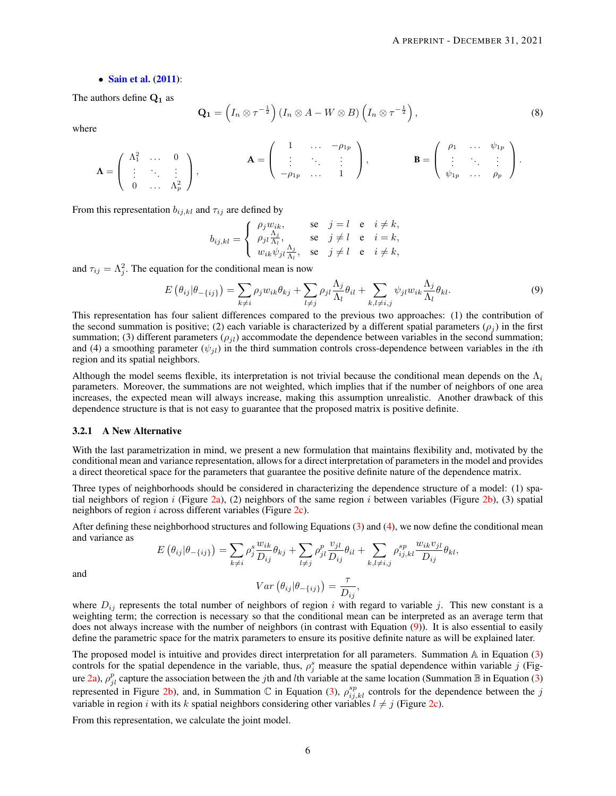#### • [Sain et al.](#page-13-10) [\(2011\)](#page-13-10):

The authors define  $Q_1$  as

$$
\mathbf{Q_1} = \left(I_n \otimes \tau^{-\frac{1}{2}}\right) \left(I_n \otimes A - W \otimes B\right) \left(I_n \otimes \tau^{-\frac{1}{2}}\right),\tag{8}
$$

where

$$
\mathbf{\Lambda} = \left( \begin{array}{cccc} \Lambda_1^2 & \ldots & 0 \\ \vdots & \ddots & \vdots \\ 0 & \ldots & \Lambda_p^2 \end{array} \right), \qquad \mathbf{\Lambda} = \left( \begin{array}{cccc} 1 & \ldots & -\rho_{1p} \\ \vdots & \ddots & \vdots \\ -\rho_{1p} & \ldots & 1 \end{array} \right), \qquad \mathbf{B} = \left( \begin{array}{cccc} \rho_1 & \ldots & \psi_{1p} \\ \vdots & \ddots & \vdots \\ \psi_{1p} & \ldots & \rho_p \end{array} \right).
$$

From this representation  $b_{ij,kl}$  and  $\tau_{ij}$  are defined by

$$
b_{ij,kl} = \begin{cases} \n\rho_j w_{ik}, & \text{se} \quad j = l \quad \text{e} \quad i \neq k, \\
\rho_{jl} \frac{\Lambda_j}{\Lambda_l}, & \text{se} \quad j \neq l \quad \text{e} \quad i = k, \\
w_{ik} \psi_{jl} \frac{\Lambda_j}{\Lambda_l}, & \text{se} \quad j \neq l \quad \text{e} \quad i \neq k,\n\end{cases}
$$

and  $\tau_{ij} = \Lambda_j^2$ . The equation for the conditional mean is now

<span id="page-5-0"></span>
$$
E(\theta_{ij}|\theta_{-\{ij\}}) = \sum_{k \neq i} \rho_j w_{ik} \theta_{kj} + \sum_{l \neq j} \rho_{jl} \frac{\Lambda_j}{\Lambda_l} \theta_{il} + \sum_{k,l \neq i,j} \psi_{jl} w_{ik} \frac{\Lambda_j}{\Lambda_l} \theta_{kl}.
$$
 (9)

This representation has four salient differences compared to the previous two approaches: (1) the contribution of the second summation is positive; (2) each variable is characterized by a different spatial parameters ( $\rho_i$ ) in the first summation; (3) different parameters ( $\rho_{il}$ ) accommodate the dependence between variables in the second summation; and (4) a smoothing parameter  $(\psi_{jl})$  in the third summation controls cross-dependence between variables in the *i*th region and its spatial neighbors.

Although the model seems flexible, its interpretation is not trivial because the conditional mean depends on the  $\Lambda_i$ parameters. Moreover, the summations are not weighted, which implies that if the number of neighbors of one area increases, the expected mean will always increase, making this assumption unrealistic. Another drawback of this dependence structure is that is not easy to guarantee that the proposed matrix is positive definite.

## <span id="page-5-1"></span>3.2.1 A New Alternative

With the last parametrization in mind, we present a new formulation that maintains flexibility and, motivated by the conditional mean and variance representation, allows for a direct interpretation of parameters in the model and provides a direct theoretical space for the parameters that guarantee the positive definite nature of the dependence matrix.

Three types of neighborhoods should be considered in characterizing the dependence structure of a model: (1) spa-tial neighbors of region i (Figure [2a\)](#page-6-1), (2) neighbors of the same region i between variables (Figure [2b\)](#page-6-2), (3) spatial neighbors of region i across different variables (Figure [2c\)](#page-6-3).

After defining these neighborhood structures and following Equations [\(3\)](#page-3-2) and [\(4\)](#page-4-1), we now define the conditional mean and variance as

$$
E(\theta_{ij}|\theta_{-\{ij\}}) = \sum_{k\neq i} \rho_j^s \frac{w_{ik}}{D_{ij}} \theta_{kj} + \sum_{l\neq j} \rho_{jl}^p \frac{v_{jl}}{D_{ij}} \theta_{il} + \sum_{k,l\neq i,j} \rho_{ij,kl}^{sp} \frac{w_{ik}v_{jl}}{D_{ij}} \theta_{kl},
$$
  

$$
Var(\theta, |\theta_{-}) = \frac{\tau}{\sqrt{n}}
$$

and

$$
Var\left(\theta_{ij}|\theta_{-\{ij\}}\right) = \frac{\tau}{D_{ij}},
$$

where  $D_{ij}$  represents the total number of neighbors of region i with regard to variable j. This new constant is a weighting term; the correction is necessary so that the conditional mean can be interpreted as an average term that does not always increase with the number of neighbors (in contrast with Equation [\(9\)](#page-5-0)). It is also essential to easily define the parametric space for the matrix parameters to ensure its positive definite nature as will be explained later.

The proposed model is intuitive and provides direct interpretation for all parameters. Summation  $A$  in Equation [\(3\)](#page-3-2) controls for the spatial dependence in the variable, thus,  $\rho_j^s$  measure the spatial dependence within variable j (Fig-ure [2a\)](#page-6-1),  $\rho_{jl}^p$  capture the association between the *j*th and *l*th variable at the same location (Summation B in Equation [\(3\)](#page-3-2) represented in Figure [2b\)](#page-6-2), and, in Summation C in Equation [\(3\)](#page-3-2),  $\rho_{ij,kl}^{sp}$  controls for the dependence between the j variable in region i with its k spatial neighbors considering other variables  $l \neq j$  (Figure [2c\)](#page-6-3).

From this representation, we calculate the joint model.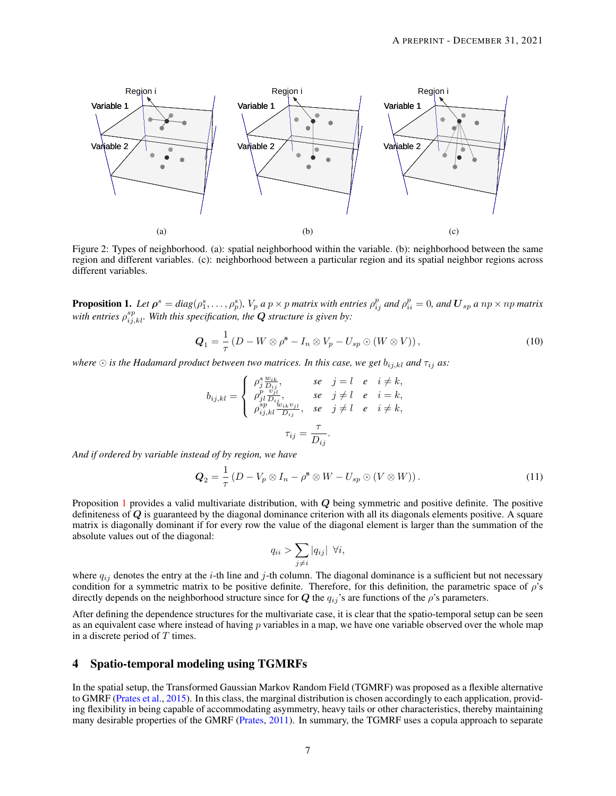<span id="page-6-1"></span>

Figure 2: Types of neighborhood. (a): spatial neighborhood within the variable. (b): neighborhood between the same region and different variables. (c): neighborhood between a particular region and its spatial neighbor regions across different variables.

<span id="page-6-4"></span>**Proposition 1.** Let  $\rho^s = diag(\rho^s_1,\ldots,\rho^s_p)$ ,  $V_p$  a  $p\times p$  matrix with entries  $\rho^p_{ij}$  and  $\rho^p_{ii} = 0$ , and  $\bm{U}_{sp}$  a  $np\times np$  matrix with entries  $\rho_{ij,kl}^{sp}$ . With this specification, the  $\bm{Q}$  structure is given by:

<span id="page-6-3"></span><span id="page-6-2"></span>
$$
Q_1 = \frac{1}{\tau} \left( D - W \otimes \rho^{\mathbf{s}} - I_n \otimes V_p - U_{sp} \odot (W \otimes V) \right), \tag{10}
$$

*where*  $\odot$  *is the Hadamard product between two matrices. In this case, we get*  $b_{i,j,kl}$  *and*  $\tau_{ij}$  *as:* 

$$
b_{ij,kl} = \begin{cases} \n\rho_j^s \frac{w_{ik}}{D_{ij}}, & se \quad j = l \quad e \quad i \neq k, \\
\rho_{jl}^p \frac{v_{jl}}{D_{ij}}, & se \quad j \neq l \quad e \quad i = k, \\
\rho_{ij,kl}^{sp} \frac{w_{ik}v_{jl}}{D_{ij}}, & se \quad j \neq l \quad e \quad i \neq k, \\
\tau_{ij} = \frac{\tau}{D_{ij}}.\n\end{cases}
$$

*And if ordered by variable instead of by region, we have*

<span id="page-6-5"></span>
$$
Q_2 = \frac{1}{\tau} \left( D - V_p \otimes I_n - \rho^s \otimes W - U_{sp} \odot (V \otimes W) \right). \tag{11}
$$

Proposition [1](#page-6-4) provides a valid multivariate distribution, with Q being symmetric and positive definite. The positive definiteness of  $Q$  is guaranteed by the diagonal dominance criterion with all its diagonals elements positive. A square matrix is diagonally dominant if for every row the value of the diagonal element is larger than the summation of the absolute values out of the diagonal:

$$
q_{ii} > \sum_{j \neq i} |q_{ij}| \ \forall i,
$$

where  $q_{ij}$  denotes the entry at the *i*-th line and *j*-th column. The diagonal dominance is a sufficient but not necessary condition for a symmetric matrix to be positive definite. Therefore, for this definition, the parametric space of  $\rho$ 's directly depends on the neighborhood structure since for  $Q$  the  $q_{ij}$ 's are functions of the  $\rho$ 's parameters.

After defining the dependence structures for the multivariate case, it is clear that the spatio-temporal setup can be seen as an equivalent case where instead of having  $p$  variables in a map, we have one variable observed over the whole map in a discrete period of  $T$  times.

# <span id="page-6-0"></span>4 Spatio-temporal modeling using TGMRFs

In the spatial setup, the Transformed Gaussian Markov Random Field (TGMRF) was proposed as a flexible alternative to GMRF [\(Prates et al.,](#page-13-5) [2015\)](#page-13-5). In this class, the marginal distribution is chosen accordingly to each application, providing flexibility in being capable of accommodating asymmetry, heavy tails or other characteristics, thereby maintaining many desirable properties of the GMRF [\(Prates,](#page-13-21) [2011\)](#page-13-21). In summary, the TGMRF uses a copula approach to separate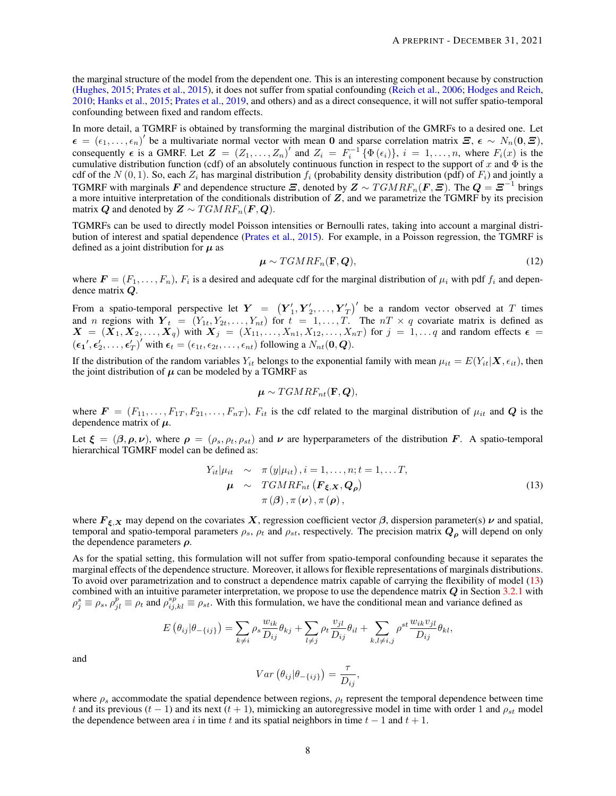the marginal structure of the model from the dependent one. This is an interesting component because by construction [\(Hughes,](#page-12-4) [2015;](#page-12-4) [Prates et al.,](#page-13-5) [2015\)](#page-13-5), it does not suffer from spatial confounding [\(Reich et al.,](#page-13-6) [2006;](#page-13-6) [Hodges and Reich,](#page-12-1) [2010;](#page-12-1) [Hanks et al.,](#page-12-3) [2015;](#page-12-3) [Prates et al.,](#page-13-8) [2019,](#page-13-8) and others) and as a direct consequence, it will not suffer spatio-temporal confounding between fixed and random effects.

In more detail, a TGMRF is obtained by transforming the marginal distribution of the GMRFs to a desired one. Let  $\epsilon = (\epsilon_1, \ldots, \epsilon_n)'$  be a multivariate normal vector with mean 0 and sparse correlation matrix  $\mathbf{\Xi}$ ,  $\epsilon \sim N_n(0, \mathbf{\Xi})$ , consequently  $\epsilon$  is a GMRF. Let  $\mathbf{Z} = (Z_1, \ldots, Z_n)'$  and  $Z_i = F_i^{-1} \{ \Phi(\epsilon_i) \}$ ,  $i = 1, \ldots, n$ , where  $F_i(x)$  is the cumulative distribution function (cdf) of an absolutely continuous function in respect to the support of x and  $\Phi$  is the cdf of the  $N(0, 1)$ . So, each  $Z_i$  has marginal distribution  $f_i$  (probability density distribution (pdf) of  $F_i$ ) and jointly a TGMRF with marginals F and dependence structure  $\bm{\Xi}$ , denoted by  $\bm{Z} \sim TGMRF_n(\bm{F},\bm{\Xi})$ . The  $\bm{Q} = \bm{\Xi}^{-1}$  brings a more intuitive interpretation of the conditionals distribution of  $Z$ , and we parametrize the TGMRF by its precision matrix Q and denoted by  $\mathbf{Z} \sim TGMRF_n(\mathbf{F},\mathbf{Q})$ .

TGMRFs can be used to directly model Poisson intensities or Bernoulli rates, taking into account a marginal distribution of interest and spatial dependence [\(Prates et al.,](#page-13-5) [2015\)](#page-13-5). For example, in a Poisson regression, the TGMRF is defined as a joint distribution for  $\mu$  as

$$
\mu \sim TGMRF_n(\mathbf{F}, \mathbf{Q}),\tag{12}
$$

where  $\mathbf{F} = (F_1, \ldots, F_n)$ ,  $F_i$  is a desired and adequate cdf for the marginal distribution of  $\mu_i$  with pdf  $f_i$  and dependence matrix Q.

From a spatio-temporal perspective let  $\boldsymbol{Y} = \left( \boldsymbol{Y}_1', \boldsymbol{Y}_2', \dots, \boldsymbol{Y}_T' \right)'$  be a random vector observed at  $T$  times and n regions with  $Y_t = (Y_{1t}, Y_{2t}, \ldots, Y_{nt})$  for  $t = 1, \ldots, T$ . The  $nT \times q$  covariate matrix is defined as  $X = (X_1, X_2, \ldots, X_q)$  with  $X_j = (X_{11}, \ldots, X_{n1}, X_{12}, \ldots, X_{nT})$  for  $j = 1, \ldots, q$  and random effects  $\epsilon =$  $(\epsilon_1', \epsilon'_2, \ldots, \epsilon'_T)'$  with  $\epsilon_t = (\epsilon_{1t}, \epsilon_{2t}, \ldots, \epsilon_{nt})$  following a  $N_{nt}(\mathbf{0}, \mathbf{Q})$ .

If the distribution of the random variables  $Y_{it}$  belongs to the exponential family with mean  $\mu_{it} = E(Y_{it}|\mathbf{X}, \epsilon_{it})$ , then the joint distribution of  $\mu$  can be modeled by a TGMRF as

$$
\boldsymbol{\mu} \sim TGMRF_{nt}(\mathbf{F},\boldsymbol{Q}),
$$

where  $\mathbf{F} = (F_{11}, \ldots, F_{1T}, F_{21}, \ldots, F_{nT}), F_{it}$  is the cdf related to the marginal distribution of  $\mu_{it}$  and  $\mathbf{Q}$  is the dependence matrix of  $\mu$ .

Let  $\xi = (\beta, \rho, \nu)$ , where  $\rho = (\rho_s, \rho_t, \rho_{st})$  and  $\nu$  are hyperparameters of the distribution F. A spatio-temporal hierarchical TGMRF model can be defined as:

<span id="page-7-0"></span>
$$
Y_{it}|\mu_{it} \sim \pi(y|\mu_{it}), i = 1, ..., n; t = 1, ... T,
$$
  
\n
$$
\mu \sim TGMRF_{nt}(\mathbf{F}_{\xi, \mathbf{X}}, \mathbf{Q}_{\rho})
$$
  
\n
$$
\pi(\boldsymbol{\beta}), \pi(\nu), \pi(\rho),
$$
\n(13)

where  $F_{\xi,X}$  may depend on the covariates X, regression coefficient vector  $\beta$ , dispersion parameter(s)  $\nu$  and spatial, temporal and spatio-temporal parameters  $\rho_s$ ,  $\rho_t$  and  $\rho_{st}$ , respectively. The precision matrix  $Q_o$  will depend on only the dependence parameters  $\rho$ .

As for the spatial setting, this formulation will not suffer from spatio-temporal confounding because it separates the marginal effects of the dependence structure. Moreover, it allows for flexible representations of marginals distributions. To avoid over parametrization and to construct a dependence matrix capable of carrying the flexibility of model [\(13\)](#page-7-0) combined with an intuitive parameter interpretation, we propose to use the dependence matrix  $Q$  in Section [3.2.1](#page-5-1) with  $\rho_j^s \equiv \rho_s$ ,  $\rho_{jl}^p \equiv \rho_t$  and  $\rho_{ij,kl}^{sp} \equiv \rho_{st}$ . With this formulation, we have the conditional mean and variance defined as

$$
E(\theta_{ij}|\theta_{-\{ij\}}) = \sum_{k\neq i} \rho_s \frac{w_{ik}}{D_{ij}} \theta_{kj} + \sum_{l\neq j} \rho_t \frac{v_{jl}}{D_{ij}} \theta_{il} + \sum_{k,l\neq i,j} \rho^{st} \frac{w_{ik}v_{jl}}{D_{ij}} \theta_{kl},
$$

and

$$
Var\left(\theta_{ij}|\theta_{-\{ij\}}\right) = \frac{\tau}{D_{ij}},
$$

where  $\rho_s$  accommodate the spatial dependence between regions,  $\rho_t$  represent the temporal dependence between time t and its previous  $(t - 1)$  and its next  $(t + 1)$ , mimicking an autoregressive model in time with order 1 and  $\rho_{st}$  model the dependence between area i in time t and its spatial neighbors in time  $t - 1$  and  $t + 1$ .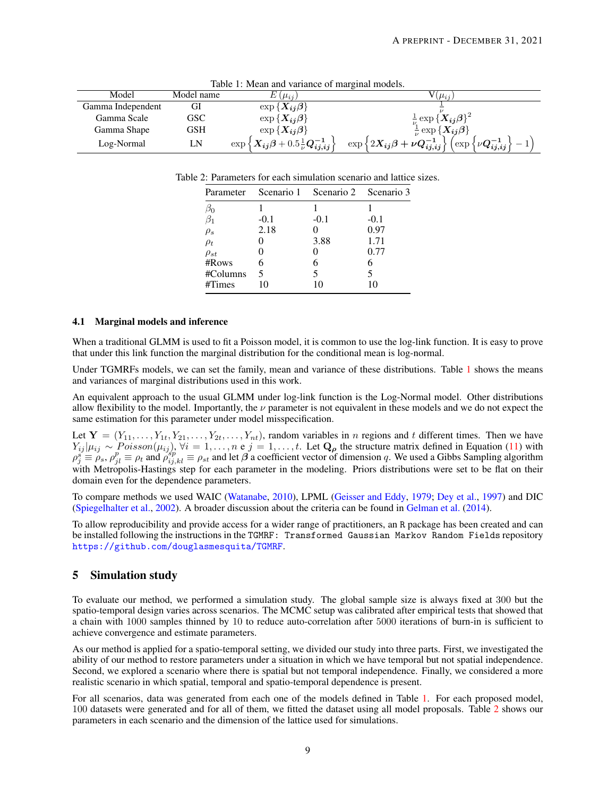<span id="page-8-2"></span><span id="page-8-1"></span>

| Tuble 1, incum and variance of marginal models. |            |                                                                                                        |                                                                                                                |  |  |  |  |
|-------------------------------------------------|------------|--------------------------------------------------------------------------------------------------------|----------------------------------------------------------------------------------------------------------------|--|--|--|--|
| Model                                           | Model name | $(\mu_{ii})$                                                                                           | $\mu_{ii}$                                                                                                     |  |  |  |  |
| Gamma Independent                               | GI         | $\exp\{X_{ij}\beta\}$                                                                                  |                                                                                                                |  |  |  |  |
| Gamma Scale                                     | GSC        | $\exp\{X_{ij}\beta\}$                                                                                  | $\frac{1}{\nu}\exp\left\{\boldsymbol{X_{ij}}\boldsymbol{\beta}\right\}^{2}$                                    |  |  |  |  |
| Gamma Shape                                     | GSH        | $\exp\{X_{ij}\beta\}$                                                                                  | $\frac{1}{\nu} \exp \{X_{ij} \beta\}$                                                                          |  |  |  |  |
| Log-Normal                                      | 'N         | $\exp\left\{\boldsymbol{X_{ij}}\boldsymbol{\beta}+0.5\frac{1}{\nu}\boldsymbol{Q}_{ij,ij}^{-1}\right\}$ | $\exp\left\{2X_{ij}\beta+\nu Q_{ij,ij}^{-1}\right\}$<br>$\int \exp \left\{ \nu \bm{Q^{-1}_{ij,ij}} \right\}$ ( |  |  |  |  |

Table 1: Mean and variance of marginal models.

Table 2: Parameters for each simulation scenario and lattice sizes.

|             |        | Parameter Scenario 1 Scenario 2 Scenario 3 |        |
|-------------|--------|--------------------------------------------|--------|
|             |        |                                            |        |
|             | $-0.1$ | $-0.1$                                     | $-0.1$ |
| $\rho_s$    | 2.18   |                                            | 0.97   |
| $\rho_t$    |        | 3.88                                       | 1.71   |
| $\rho_{st}$ |        |                                            | 0.77   |
| #Rows       |        |                                            | 6      |
| #Columns    |        |                                            |        |
| #Times      |        |                                            |        |
|             |        |                                            |        |

## 4.1 Marginal models and inference

When a traditional GLMM is used to fit a Poisson model, it is common to use the log-link function. It is easy to prove that under this link function the marginal distribution for the conditional mean is log-normal.

Under TGMRFs models, we can set the family, mean and variance of these distributions. Table [1](#page-8-1) shows the means and variances of marginal distributions used in this work.

An equivalent approach to the usual GLMM under log-link function is the Log-Normal model. Other distributions allow flexibility to the model. Importantly, the  $\nu$  parameter is not equivalent in these models and we do not expect the same estimation for this parameter under model misspecification.

Let  $Y = (Y_{11}, \ldots, Y_{1t}, Y_{21}, \ldots, Y_{2t}, \ldots, Y_{nt})$ , random variables in *n* regions and *t* different times. Then we have  $Y_{ij}|\mu_{ij} \sim Poisson(\mu_{ij}), \forall i = 1,\ldots,n$  e  $j = 1,\ldots,t$ . Let  $\mathbf{Q}_{\rho}$  the structure matrix defined in Equation [\(11\)](#page-6-5) with  $\rho_1^s \equiv \rho_s$ ,  $\rho_{jl}^p \equiv \rho_t$  and  $\rho_{ij,kl}^{sip} \equiv \rho_{st}$  and let  $\beta$  a coefficient vector of dimension q. We used a Gibbs Sampling algorithm with Metropolis-Hastings step for each parameter in the modeling. Priors distributions were set to be flat on their domain even for the dependence parameters.

To compare methods we used WAIC [\(Watanabe,](#page-13-22) [2010\)](#page-13-22), LPML [\(Geisser and Eddy,](#page-12-13) [1979;](#page-12-13) [Dey et al.,](#page-12-14) [1997\)](#page-12-14) and DIC [\(Spiegelhalter et al.,](#page-13-23) [2002\)](#page-13-23). A broader discussion about the criteria can be found in [Gelman et al.](#page-12-15) [\(2014\)](#page-12-15).

To allow reproducibility and provide access for a wider range of practitioners, an R package has been created and can be installed following the instructions in the TGMRF: Transformed Gaussian Markov Random Fields repository <https://github.com/douglasmesquita/TGMRF>.

# <span id="page-8-0"></span>5 Simulation study

To evaluate our method, we performed a simulation study. The global sample size is always fixed at 300 but the spatio-temporal design varies across scenarios. The MCMC setup was calibrated after empirical tests that showed that a chain with 1000 samples thinned by 10 to reduce auto-correlation after 5000 iterations of burn-in is sufficient to achieve convergence and estimate parameters.

As our method is applied for a spatio-temporal setting, we divided our study into three parts. First, we investigated the ability of our method to restore parameters under a situation in which we have temporal but not spatial independence. Second, we explored a scenario where there is spatial but not temporal independence. Finally, we considered a more realistic scenario in which spatial, temporal and spatio-temporal dependence is present.

For all scenarios, data was generated from each one of the models defined in Table [1.](#page-8-1) For each proposed model, 100 datasets were generated and for all of them, we fitted the dataset using all model proposals. Table [2](#page-8-2) shows our parameters in each scenario and the dimension of the lattice used for simulations.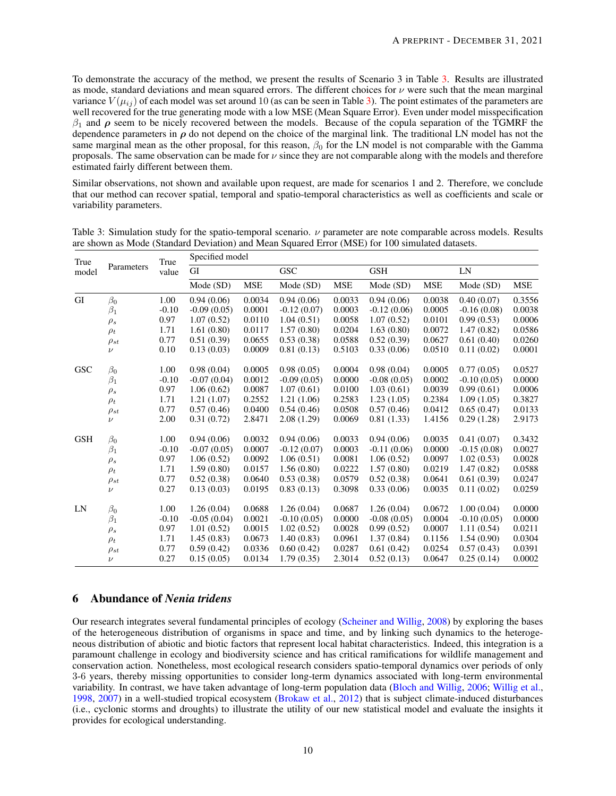To demonstrate the accuracy of the method, we present the results of Scenario 3 in Table [3.](#page-9-1) Results are illustrated as mode, standard deviations and mean squared errors. The different choices for  $\nu$  were such that the mean marginal variance  $V(\mu_{ij})$  of each model was set around 10 (as can be seen in Table [3\)](#page-9-1). The point estimates of the parameters are well recovered for the true generating mode with a low MSE (Mean Square Error). Even under model misspecification  $\beta_1$  and  $\rho$  seem to be nicely recovered between the models. Because of the copula separation of the TGMRF the dependence parameters in  $\rho$  do not depend on the choice of the marginal link. The traditional LN model has not the same marginal mean as the other proposal, for this reason,  $\beta_0$  for the LN model is not comparable with the Gamma proposals. The same observation can be made for  $\nu$  since they are not comparable along with the models and therefore estimated fairly different between them.

Similar observations, not shown and available upon request, are made for scenarios 1 and 2. Therefore, we conclude that our method can recover spatial, temporal and spatio-temporal characteristics as well as coefficients and scale or variability parameters.

| True       | Parameters  | True<br>value | Specified model |            |               |            |               |        |               |        |
|------------|-------------|---------------|-----------------|------------|---------------|------------|---------------|--------|---------------|--------|
| model      |             |               | GI              |            | <b>GSC</b>    |            | <b>GSH</b>    |        | LN            |        |
|            |             |               | Mode(SD)        | <b>MSE</b> | Mode (SD)     | <b>MSE</b> | Mode(SD)      | MSE    | Mode (SD)     | MSE    |
| GI         | $\beta_0$   | 1.00          | 0.94(0.06)      | 0.0034     | 0.94(0.06)    | 0.0033     | 0.94(0.06)    | 0.0038 | 0.40(0.07)    | 0.3556 |
|            | $\beta_1$   | $-0.10$       | $-0.09(0.05)$   | 0.0001     | $-0.12(0.07)$ | 0.0003     | $-0.12(0.06)$ | 0.0005 | $-0.16(0.08)$ | 0.0038 |
|            | $\rho_s$    | 0.97          | 1.07(0.52)      | 0.0110     | 1.04(0.51)    | 0.0058     | 1.07(0.52)    | 0.0101 | 0.99(0.53)    | 0.0006 |
|            | $\rho_t$    | 1.71          | 1.61(0.80)      | 0.0117     | 1.57(0.80)    | 0.0204     | 1.63(0.80)    | 0.0072 | 1.47(0.82)    | 0.0586 |
|            | $\rho_{st}$ | 0.77          | 0.51(0.39)      | 0.0655     | 0.53(0.38)    | 0.0588     | 0.52(0.39)    | 0.0627 | 0.61(0.40)    | 0.0260 |
|            | $\nu$       | 0.10          | 0.13(0.03)      | 0.0009     | 0.81(0.13)    | 0.5103     | 0.33(0.06)    | 0.0510 | 0.11(0.02)    | 0.0001 |
| <b>GSC</b> | $\beta_0$   | 1.00          | 0.98(0.04)      | 0.0005     | 0.98(0.05)    | 0.0004     | 0.98(0.04)    | 0.0005 | 0.77(0.05)    | 0.0527 |
|            | $\beta_1$   | $-0.10$       | $-0.07(0.04)$   | 0.0012     | $-0.09(0.05)$ | 0.0000     | $-0.08(0.05)$ | 0.0002 | $-0.10(0.05)$ | 0.0000 |
|            | $\rho_s$    | 0.97          | 1.06(0.62)      | 0.0087     | 1.07(0.61)    | 0.0100     | 1.03(0.61)    | 0.0039 | 0.99(0.61)    | 0.0006 |
|            | $\rho_t$    | 1.71          | 1.21(1.07)      | 0.2552     | 1.21(1.06)    | 0.2583     | 1.23(1.05)    | 0.2384 | 1.09(1.05)    | 0.3827 |
|            | $\rho_{st}$ | 0.77          | 0.57(0.46)      | 0.0400     | 0.54(0.46)    | 0.0508     | 0.57(0.46)    | 0.0412 | 0.65(0.47)    | 0.0133 |
|            | $\nu$       | 2.00          | 0.31(0.72)      | 2.8471     | 2.08(1.29)    | 0.0069     | 0.81(1.33)    | 1.4156 | 0.29(1.28)    | 2.9173 |
| <b>GSH</b> | $\beta_0$   | 1.00          | 0.94(0.06)      | 0.0032     | 0.94(0.06)    | 0.0033     | 0.94(0.06)    | 0.0035 | 0.41(0.07)    | 0.3432 |
|            | $\beta_1$   | $-0.10$       | $-0.07(0.05)$   | 0.0007     | $-0.12(0.07)$ | 0.0003     | $-0.11(0.06)$ | 0.0000 | $-0.15(0.08)$ | 0.0027 |
|            | $\rho_s$    | 0.97          | 1.06(0.52)      | 0.0092     | 1.06(0.51)    | 0.0081     | 1.06(0.52)    | 0.0097 | 1.02(0.53)    | 0.0028 |
|            | $\rho_t$    | 1.71          | 1.59(0.80)      | 0.0157     | 1.56(0.80)    | 0.0222     | 1.57(0.80)    | 0.0219 | 1.47(0.82)    | 0.0588 |
|            | $\rho_{st}$ | 0.77          | 0.52(0.38)      | 0.0640     | 0.53(0.38)    | 0.0579     | 0.52(0.38)    | 0.0641 | 0.61(0.39)    | 0.0247 |
|            | $\nu$       | 0.27          | 0.13(0.03)      | 0.0195     | 0.83(0.13)    | 0.3098     | 0.33(0.06)    | 0.0035 | 0.11(0.02)    | 0.0259 |
| LN         | $\beta_0$   | 1.00          | 1.26(0.04)      | 0.0688     | 1.26(0.04)    | 0.0687     | 1.26(0.04)    | 0.0672 | 1.00(0.04)    | 0.0000 |
|            | $\beta_1$   | $-0.10$       | $-0.05(0.04)$   | 0.0021     | $-0.10(0.05)$ | 0.0000     | $-0.08(0.05)$ | 0.0004 | $-0.10(0.05)$ | 0.0000 |
|            | $\rho_s$    | 0.97          | 1.01(0.52)      | 0.0015     | 1.02(0.52)    | 0.0028     | 0.99(0.52)    | 0.0007 | 1.11(0.54)    | 0.0211 |
|            | $\rho_t$    | 1.71          | 1.45(0.83)      | 0.0673     | 1.40(0.83)    | 0.0961     | 1.37(0.84)    | 0.1156 | 1.54(0.90)    | 0.0304 |
|            | $\rho_{st}$ | 0.77          | 0.59(0.42)      | 0.0336     | 0.60(0.42)    | 0.0287     | 0.61(0.42)    | 0.0254 | 0.57(0.43)    | 0.0391 |
|            | $\nu$       | 0.27          | 0.15(0.05)      | 0.0134     | 1.79(0.35)    | 2.3014     | 0.52(0.13)    | 0.0647 | 0.25(0.14)    | 0.0002 |

<span id="page-9-1"></span>Table 3: Simulation study for the spatio-temporal scenario.  $\nu$  parameter are note comparable across models. Results are shown as Mode (Standard Deviation) and Mean Squared Error (MSE) for 100 simulated datasets.

# <span id="page-9-0"></span>6 Abundance of *Nenia tridens*

Our research integrates several fundamental principles of ecology [\(Scheiner and Willig,](#page-13-24) [2008\)](#page-13-24) by exploring the bases of the heterogeneous distribution of organisms in space and time, and by linking such dynamics to the heterogeneous distribution of abiotic and biotic factors that represent local habitat characteristics. Indeed, this integration is a paramount challenge in ecology and biodiversity science and has critical ramifications for wildlife management and conservation action. Nonetheless, most ecological research considers spatio-temporal dynamics over periods of only 3-6 years, thereby missing opportunities to consider long-term dynamics associated with long-term environmental variability. In contrast, we have taken advantage of long-term population data [\(Bloch and Willig,](#page-12-9) [2006;](#page-12-9) [Willig et al.,](#page-14-1) [1998,](#page-14-1) [2007\)](#page-13-12) in a well-studied tropical ecosystem [\(Brokaw et al.,](#page-12-16) [2012\)](#page-12-16) that is subject climate-induced disturbances (i.e., cyclonic storms and droughts) to illustrate the utility of our new statistical model and evaluate the insights it provides for ecological understanding.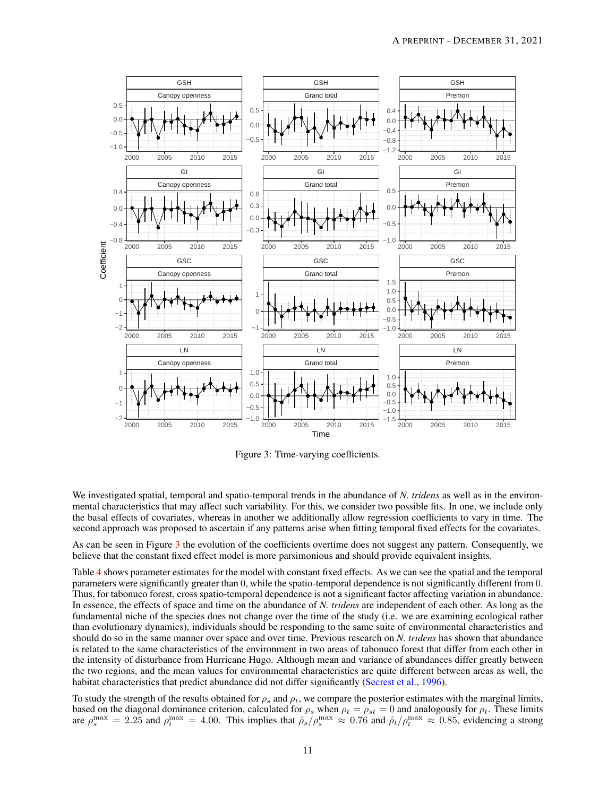<span id="page-10-0"></span>

Figure 3: Time-varying coefficients.

We investigated spatial, temporal and spatio-temporal trends in the abundance of *N. tridens* as well as in the environmental characteristics that may affect such variability. For this, we consider two possible fits. In one, we include only the basal effects of covariates, whereas in another we additionally allow regression coefficients to vary in time. The second approach was proposed to ascertain if any patterns arise when fitting temporal fixed effects for the covariates.

As can be seen in Figure [3](#page-10-0) the evolution of the coefficients overtime does not suggest any pattern. Consequently, we believe that the constant fixed effect model is more parsimonious and should provide equivalent insights.

Table [4](#page-11-1) shows parameter estimates for the model with constant fixed effects. As we can see the spatial and the temporal parameters were significantly greater than 0, while the spatio-temporal dependence is not significantly different from 0. Thus, for tabonuco forest, cross spatio-temporal dependence is not a significant factor affecting variation in abundance. In essence, the effects of space and time on the abundance of *N. tridens* are independent of each other. As long as the fundamental niche of the species does not change over the time of the study (i.e. we are examining ecological rather than evolutionary dynamics), individuals should be responding to the same suite of environmental characteristics and should do so in the same manner over space and over time. Previous research on *N. tridens* has shown that abundance is related to the same characteristics of the environment in two areas of tabonuco forest that differ from each other in the intensity of disturbance from Hurricane Hugo. Although mean and variance of abundances differ greatly between the two regions, and the mean values for environmental characteristics are quite different between areas as well, the habitat characteristics that predict abundance did not differ significantly [\(Secrest et al.,](#page-13-18) [1996\)](#page-13-18).

To study the strength of the results obtained for  $\rho_s$  and  $\rho_t$ , we compare the posterior estimates with the marginal limits, based on the diagonal dominance criterion, calculated for  $\rho_s$  when  $\rho_t = \rho_{st} = 0$  and analogously for  $\rho_t$ . These limits are  $\rho_s^{\text{max}} = 2.25$  and  $\rho_t^{\text{max}} = 4.00$ . This implies that  $\hat{\rho}_s / \rho_s^{\text{max}} \approx 0.76$  and  $\hat{\rho}_t / \rho_t^{\text{max}} \approx 0.85$ , evidencing a strong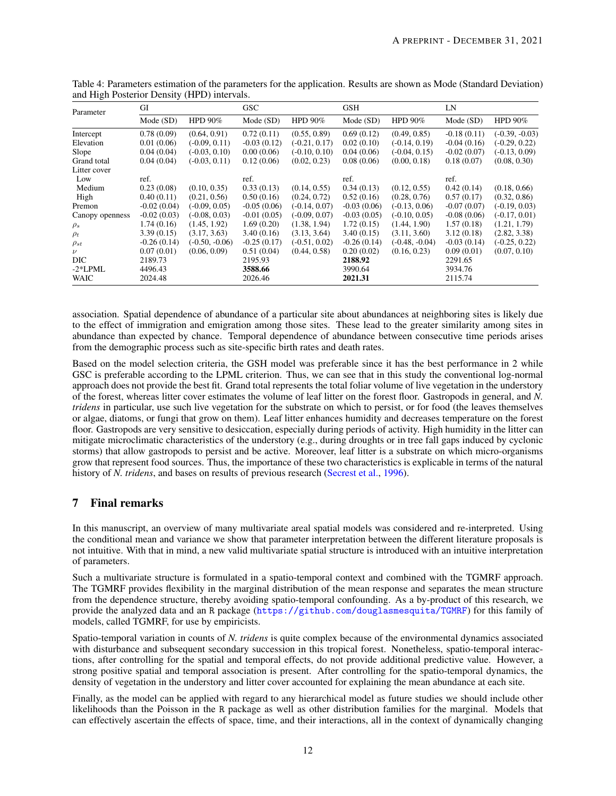| Parameter       | GI            |                  | <b>GSC</b>    |                 | <b>GSH</b>    |                  | LN            |                  |
|-----------------|---------------|------------------|---------------|-----------------|---------------|------------------|---------------|------------------|
|                 | Mode (SD)     | HPD $90\%$       | Mode (SD)     | HPD $90\%$      | Mode(SD)      | HPD $90\%$       | Mode (SD)     | HPD $90\%$       |
| Intercept       | 0.78(0.09)    | (0.64, 0.91)     | 0.72(0.11)    | (0.55, 0.89)    | 0.69(0.12)    | (0.49, 0.85)     | $-0.18(0.11)$ | $(-0.39, -0.03)$ |
| Elevation       | 0.01(0.06)    | $(-0.09, 0.11)$  | $-0.03(0.12)$ | $(-0.21, 0.17)$ | 0.02(0.10)    | $(-0.14, 0.19)$  | $-0.04(0.16)$ | $(-0.29, 0.22)$  |
| Slope           | 0.04(0.04)    | $(-0.03, 0.10)$  | 0.00(0.06)    | $(-0.10, 0.10)$ | 0.04(0.06)    | $(-0.04, 0.15)$  | $-0.02(0.07)$ | $(-0.13, 0.09)$  |
| Grand total     | 0.04(0.04)    | $(-0.03, 0.11)$  | 0.12(0.06)    | (0.02, 0.23)    | 0.08(0.06)    | (0.00, 0.18)     | 0.18(0.07)    | (0.08, 0.30)     |
| Litter cover    |               |                  |               |                 |               |                  |               |                  |
| Low             | ref.          |                  | ref.          |                 | ref.          |                  | ref.          |                  |
| Medium          | 0.23(0.08)    | (0.10, 0.35)     | 0.33(0.13)    | (0.14, 0.55)    | 0.34(0.13)    | (0.12, 0.55)     | 0.42(0.14)    | (0.18, 0.66)     |
| High            | 0.40(0.11)    | (0.21, 0.56)     | 0.50(0.16)    | (0.24, 0.72)    | 0.52(0.16)    | (0.28, 0.76)     | 0.57(0.17)    | (0.32, 0.86)     |
| Premon          | $-0.02(0.04)$ | $(-0.09, 0.05)$  | $-0.05(0.06)$ | $(-0.14, 0.07)$ | $-0.03(0.06)$ | $(-0.13, 0.06)$  | $-0.07(0.07)$ | $(-0.19, 0.03)$  |
| Canopy openness | $-0.02(0.03)$ | $(-0.08, 0.03)$  | $-0.01(0.05)$ | $(-0.09, 0.07)$ | $-0.03(0.05)$ | $(-0.10, 0.05)$  | $-0.08(0.06)$ | $(-0.17, 0.01)$  |
| $\rho_s$        | 1.74(0.16)    | (1.45, 1.92)     | 1.69(0.20)    | (1.38, 1.94)    | 1.72(0.15)    | (1.44, 1.90)     | 1.57(0.18)    | (1.21, 1.79)     |
| $\rho_t$        | 3.39(0.15)    | (3.17, 3.63)     | 3.40(0.16)    | (3.13, 3.64)    | 3.40(0.15)    | (3.11, 3.60)     | 3.12(0.18)    | (2.82, 3.38)     |
| $\rho_{st}$     | $-0.26(0.14)$ | $(-0.50, -0.06)$ | $-0.25(0.17)$ | $(-0.51, 0.02)$ | $-0.26(0.14)$ | $(-0.48, -0.04)$ | $-0.03(0.14)$ | $(-0.25, 0.22)$  |
| $\nu$           | 0.07(0.01)    | (0.06, 0.09)     | 0.51(0.04)    | (0.44, 0.58)    | 0.20(0.02)    | (0.16, 0.23)     | 0.09(0.01)    | (0.07, 0.10)     |
| DIC             | 2189.73       |                  | 2195.93       |                 | 2188.92       |                  | 2291.65       |                  |
| $-2*LPML$       | 4496.43       |                  | 3588.66       |                 | 3990.64       |                  | 3934.76       |                  |
| WAIC            | 2024.48       |                  | 2026.46       |                 | 2021.31       |                  | 2115.74       |                  |

<span id="page-11-1"></span>Table 4: Parameters estimation of the parameters for the application. Results are shown as Mode (Standard Deviation) and High Posterior Density (HPD) intervals.

association. Spatial dependence of abundance of a particular site about abundances at neighboring sites is likely due to the effect of immigration and emigration among those sites. These lead to the greater similarity among sites in abundance than expected by chance. Temporal dependence of abundance between consecutive time periods arises from the demographic process such as site-specific birth rates and death rates.

Based on the model selection criteria, the GSH model was preferable since it has the best performance in 2 while GSC is preferable according to the LPML criterion. Thus, we can see that in this study the conventional log-normal approach does not provide the best fit. Grand total represents the total foliar volume of live vegetation in the understory of the forest, whereas litter cover estimates the volume of leaf litter on the forest floor. Gastropods in general, and *N. tridens* in particular, use such live vegetation for the substrate on which to persist, or for food (the leaves themselves or algae, diatoms, or fungi that grow on them). Leaf litter enhances humidity and decreases temperature on the forest floor. Gastropods are very sensitive to desiccation, especially during periods of activity. High humidity in the litter can mitigate microclimatic characteristics of the understory (e.g., during droughts or in tree fall gaps induced by cyclonic storms) that allow gastropods to persist and be active. Moreover, leaf litter is a substrate on which micro-organisms grow that represent food sources. Thus, the importance of these two characteristics is explicable in terms of the natural history of *N. tridens*, and bases on results of previous research [\(Secrest et al.,](#page-13-18) [1996\)](#page-13-18).

# <span id="page-11-0"></span>7 Final remarks

In this manuscript, an overview of many multivariate areal spatial models was considered and re-interpreted. Using the conditional mean and variance we show that parameter interpretation between the different literature proposals is not intuitive. With that in mind, a new valid multivariate spatial structure is introduced with an intuitive interpretation of parameters.

Such a multivariate structure is formulated in a spatio-temporal context and combined with the TGMRF approach. The TGMRF provides flexibility in the marginal distribution of the mean response and separates the mean structure from the dependence structure, thereby avoiding spatio-temporal confounding. As a by-product of this research, we provide the analyzed data and an R package (<https://github.com/douglasmesquita/TGMRF>) for this family of models, called TGMRF, for use by empiricists.

Spatio-temporal variation in counts of *N. tridens* is quite complex because of the environmental dynamics associated with disturbance and subsequent secondary succession in this tropical forest. Nonetheless, spatio-temporal interactions, after controlling for the spatial and temporal effects, do not provide additional predictive value. However, a strong positive spatial and temporal association is present. After controlling for the spatio-temporal dynamics, the density of vegetation in the understory and litter cover accounted for explaining the mean abundance at each site.

Finally, as the model can be applied with regard to any hierarchical model as future studies we should include other likelihoods than the Poisson in the R package as well as other distribution families for the marginal. Models that can effectively ascertain the effects of space, time, and their interactions, all in the context of dynamically changing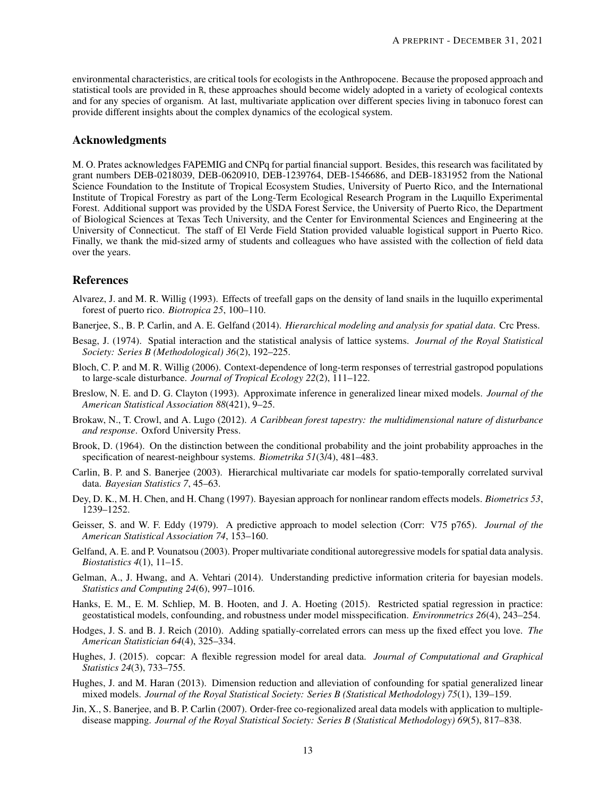environmental characteristics, are critical tools for ecologists in the Anthropocene. Because the proposed approach and statistical tools are provided in R, these approaches should become widely adopted in a variety of ecological contexts and for any species of organism. At last, multivariate application over different species living in tabonuco forest can provide different insights about the complex dynamics of the ecological system.

# Acknowledgments

M. O. Prates acknowledges FAPEMIG and CNPq for partial financial support. Besides, this research was facilitated by grant numbers DEB-0218039, DEB-0620910, DEB-1239764, DEB-1546686, and DEB-1831952 from the National Science Foundation to the Institute of Tropical Ecosystem Studies, University of Puerto Rico, and the International Institute of Tropical Forestry as part of the Long-Term Ecological Research Program in the Luquillo Experimental Forest. Additional support was provided by the USDA Forest Service, the University of Puerto Rico, the Department of Biological Sciences at Texas Tech University, and the Center for Environmental Sciences and Engineering at the University of Connecticut. The staff of El Verde Field Station provided valuable logistical support in Puerto Rico. Finally, we thank the mid-sized army of students and colleagues who have assisted with the collection of field data over the years.

# References

- <span id="page-12-10"></span>Alvarez, J. and M. R. Willig (1993). Effects of treefall gaps on the density of land snails in the luquillo experimental forest of puerto rico. *Biotropica 25*, 100–110.
- <span id="page-12-12"></span>Banerjee, S., B. P. Carlin, and A. E. Gelfand (2014). *Hierarchical modeling and analysis for spatial data*. Crc Press.
- <span id="page-12-5"></span>Besag, J. (1974). Spatial interaction and the statistical analysis of lattice systems. *Journal of the Royal Statistical Society: Series B (Methodological) 36*(2), 192–225.
- <span id="page-12-9"></span>Bloch, C. P. and M. R. Willig (2006). Context-dependence of long-term responses of terrestrial gastropod populations to large-scale disturbance. *Journal of Tropical Ecology 22*(2), 111–122.
- <span id="page-12-0"></span>Breslow, N. E. and D. G. Clayton (1993). Approximate inference in generalized linear mixed models. *Journal of the American Statistical Association 88*(421), 9–25.
- <span id="page-12-16"></span>Brokaw, N., T. Crowl, and A. Lugo (2012). *A Caribbean forest tapestry: the multidimensional nature of disturbance and response*. Oxford University Press.
- <span id="page-12-11"></span>Brook, D. (1964). On the distinction between the conditional probability and the joint probability approaches in the specification of nearest-neighbour systems. *Biometrika 51*(3/4), 481–483.
- <span id="page-12-7"></span>Carlin, B. P. and S. Banerjee (2003). Hierarchical multivariate car models for spatio-temporally correlated survival data. *Bayesian Statistics 7*, 45–63.
- <span id="page-12-14"></span>Dey, D. K., M. H. Chen, and H. Chang (1997). Bayesian approach for nonlinear random effects models. *Biometrics 53*, 1239–1252.
- <span id="page-12-13"></span>Geisser, S. and W. F. Eddy (1979). A predictive approach to model selection (Corr: V75 p765). *Journal of the American Statistical Association 74*, 153–160.
- <span id="page-12-6"></span>Gelfand, A. E. and P. Vounatsou (2003). Proper multivariate conditional autoregressive models for spatial data analysis. *Biostatistics 4*(1), 11–15.
- <span id="page-12-15"></span>Gelman, A., J. Hwang, and A. Vehtari (2014). Understanding predictive information criteria for bayesian models. *Statistics and Computing 24*(6), 997–1016.
- <span id="page-12-3"></span>Hanks, E. M., E. M. Schliep, M. B. Hooten, and J. A. Hoeting (2015). Restricted spatial regression in practice: geostatistical models, confounding, and robustness under model misspecification. *Environmetrics 26*(4), 243–254.
- <span id="page-12-1"></span>Hodges, J. S. and B. J. Reich (2010). Adding spatially-correlated errors can mess up the fixed effect you love. *The American Statistician 64*(4), 325–334.
- <span id="page-12-4"></span>Hughes, J. (2015). copcar: A flexible regression model for areal data. *Journal of Computational and Graphical Statistics 24*(3), 733–755.
- <span id="page-12-2"></span>Hughes, J. and M. Haran (2013). Dimension reduction and alleviation of confounding for spatial generalized linear mixed models. *Journal of the Royal Statistical Society: Series B (Statistical Methodology) 75*(1), 139–159.
- <span id="page-12-8"></span>Jin, X., S. Banerjee, and B. P. Carlin (2007). Order-free co-regionalized areal data models with application to multipledisease mapping. *Journal of the Royal Statistical Society: Series B (Statistical Methodology) 69*(5), 817–838.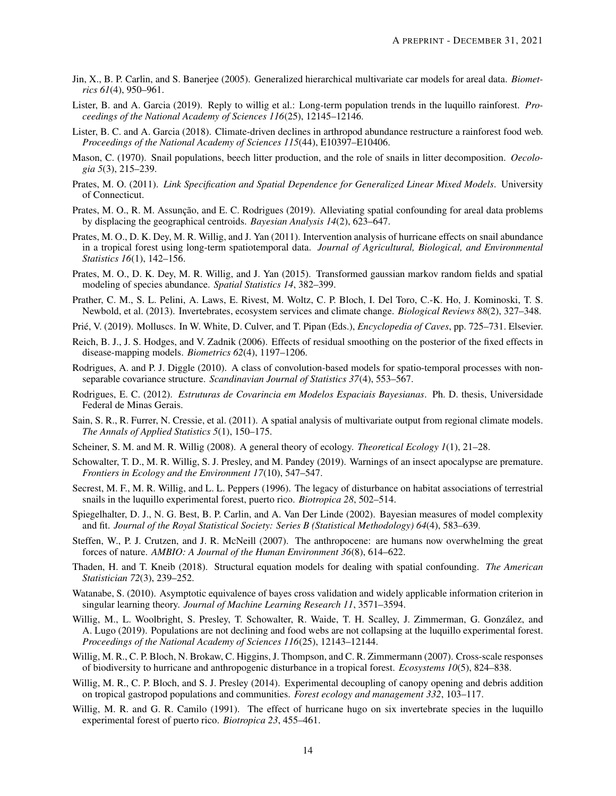- <span id="page-13-9"></span>Jin, X., B. P. Carlin, and S. Banerjee (2005). Generalized hierarchical multivariate car models for areal data. *Biometrics 61*(4), 950–961.
- <span id="page-13-2"></span>Lister, B. and A. Garcia (2019). Reply to willig et al.: Long-term population trends in the luquillo rainforest. *Proceedings of the National Academy of Sciences 116*(25), 12145–12146.
- <span id="page-13-1"></span>Lister, B. C. and A. Garcia (2018). Climate-driven declines in arthropod abundance restructure a rainforest food web. *Proceedings of the National Academy of Sciences 115*(44), E10397–E10406.
- <span id="page-13-15"></span>Mason, C. (1970). Snail populations, beech litter production, and the role of snails in litter decomposition. *Oecologia 5*(3), 215–239.
- <span id="page-13-21"></span>Prates, M. O. (2011). *Link Specification and Spatial Dependence for Generalized Linear Mixed Models*. University of Connecticut.
- <span id="page-13-8"></span>Prates, M. O., R. M. Assunção, and E. C. Rodrigues (2019). Alleviating spatial confounding for areal data problems by displacing the geographical centroids. *Bayesian Analysis 14*(2), 623–647.
- <span id="page-13-19"></span>Prates, M. O., D. K. Dey, M. R. Willig, and J. Yan (2011). Intervention analysis of hurricane effects on snail abundance in a tropical forest using long-term spatiotemporal data. *Journal of Agricultural, Biological, and Environmental Statistics 16*(1), 142–156.
- <span id="page-13-5"></span>Prates, M. O., D. K. Dey, M. R. Willig, and J. Yan (2015). Transformed gaussian markov random fields and spatial modeling of species abundance. *Spatial Statistics 14*, 382–399.
- <span id="page-13-16"></span>Prather, C. M., S. L. Pelini, A. Laws, E. Rivest, M. Woltz, C. P. Bloch, I. Del Toro, C.-K. Ho, J. Kominoski, T. S. Newbold, et al. (2013). Invertebrates, ecosystem services and climate change. *Biological Reviews 88*(2), 327–348.
- <span id="page-13-14"></span>Prié, V. (2019). Molluscs. In W. White, D. Culver, and T. Pipan (Eds.), *Encyclopedia of Caves*, pp. 725–731. Elsevier.
- <span id="page-13-6"></span>Reich, B. J., J. S. Hodges, and V. Zadnik (2006). Effects of residual smoothing on the posterior of the fixed effects in disease-mapping models. *Biometrics 62*(4), 1197–1206.
- <span id="page-13-20"></span>Rodrigues, A. and P. J. Diggle (2010). A class of convolution-based models for spatio-temporal processes with nonseparable covariance structure. *Scandinavian Journal of Statistics 37*(4), 553–567.
- <span id="page-13-11"></span>Rodrigues, E. C. (2012). *Estruturas de Covarincia em Modelos Espaciais Bayesianas*. Ph. D. thesis, Universidade Federal de Minas Gerais.
- <span id="page-13-10"></span>Sain, S. R., R. Furrer, N. Cressie, et al. (2011). A spatial analysis of multivariate output from regional climate models. *The Annals of Applied Statistics 5*(1), 150–175.
- <span id="page-13-24"></span>Scheiner, S. M. and M. R. Willig (2008). A general theory of ecology. *Theoretical Ecology 1*(1), 21–28.
- <span id="page-13-3"></span>Schowalter, T. D., M. R. Willig, S. J. Presley, and M. Pandey (2019). Warnings of an insect apocalypse are premature. *Frontiers in Ecology and the Environment 17*(10), 547–547.
- <span id="page-13-18"></span>Secrest, M. F., M. R. Willig, and L. L. Peppers (1996). The legacy of disturbance on habitat associations of terrestrial snails in the luquillo experimental forest, puerto rico. *Biotropica 28*, 502–514.
- <span id="page-13-23"></span>Spiegelhalter, D. J., N. G. Best, B. P. Carlin, and A. Van Der Linde (2002). Bayesian measures of model complexity and fit. *Journal of the Royal Statistical Society: Series B (Statistical Methodology) 64*(4), 583–639.
- <span id="page-13-0"></span>Steffen, W., P. J. Crutzen, and J. R. McNeill (2007). The anthropocene: are humans now overwhelming the great forces of nature. *AMBIO: A Journal of the Human Environment 36*(8), 614–622.
- <span id="page-13-7"></span>Thaden, H. and T. Kneib (2018). Structural equation models for dealing with spatial confounding. *The American Statistician 72*(3), 239–252.
- <span id="page-13-22"></span>Watanabe, S. (2010). Asymptotic equivalence of bayes cross validation and widely applicable information criterion in singular learning theory. *Journal of Machine Learning Research 11*, 3571–3594.
- <span id="page-13-4"></span>Willig, M., L. Woolbright, S. Presley, T. Schowalter, R. Waide, T. H. Scalley, J. Zimmerman, G. Gonzalez, and ´ A. Lugo (2019). Populations are not declining and food webs are not collapsing at the luquillo experimental forest. *Proceedings of the National Academy of Sciences 116*(25), 12143–12144.
- <span id="page-13-12"></span>Willig, M. R., C. P. Bloch, N. Brokaw, C. Higgins, J. Thompson, and C. R. Zimmermann (2007). Cross-scale responses of biodiversity to hurricane and anthropogenic disturbance in a tropical forest. *Ecosystems 10*(5), 824–838.
- <span id="page-13-13"></span>Willig, M. R., C. P. Bloch, and S. J. Presley (2014). Experimental decoupling of canopy opening and debris addition on tropical gastropod populations and communities. *Forest ecology and management 332*, 103–117.
- <span id="page-13-17"></span>Willig, M. R. and G. R. Camilo (1991). The effect of hurricane hugo on six invertebrate species in the luquillo experimental forest of puerto rico. *Biotropica 23*, 455–461.